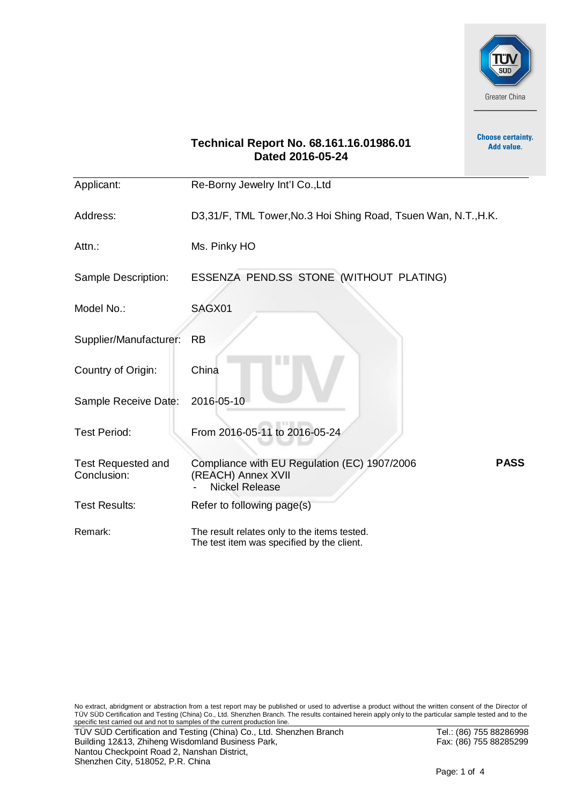

**Choose certainty.** 

# **Technical Report No. 68.161.16.01986.01** Add value. **Dated 2016-05-24** Applicant: Re-Borny Jewelry Int'I Co.,Ltd Address: D3,31/F, TML Tower, No.3 Hoi Shing Road, Tsuen Wan, N.T., H.K. Attn.: Ms. Pinky HO Sample Description: ESSENZA PEND.SS STONE (WITHOUT PLATING) Model No.: SAGX01 Supplier/Manufacturer: RB Country of Origin: China Sample Receive Date: 2016-05-10 Test Period: From 2016-05-11 to 2016-05-24 Compliance with EU Regulation (EC) 1907/2006 Test Requested and **PASS** Conclusion: (REACH) Annex XVII **Nickel Release** Test Results: Refer to following page(s) Remark: The result relates only to the items tested. The test item was specified by the client.

No extract, abridgment or abstraction from a test report may be published or used to advertise a product without the written consent of the Director of TÜV SÜD Certification and Testing (China) Co., Ltd. Shenzhen Branch. The results contained herein apply only to the particular sample tested and to the specific test carried out and not to samples of the current production line. TÜV SÜD Certification and Testing (China) Co., Ltd. Shenzhen Branch Tel.: (86) 755 88286998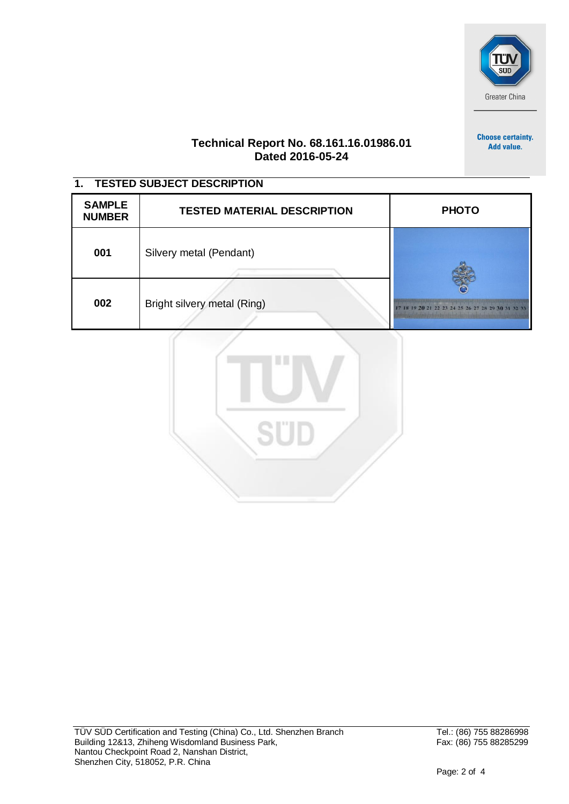

**Choose certainty.** Add value.

### **Technical Report No. 68.161.16.01986.01 Dated 2016-05-24**

## **1. TESTED SUBJECT DESCRIPTION**

| <b>SAMPLE</b><br><b>NUMBER</b> | <b>TESTED MATERIAL DESCRIPTION</b> | <b>PHOTO</b>                                       |  |  |
|--------------------------------|------------------------------------|----------------------------------------------------|--|--|
| 001                            | Silvery metal (Pendant)            |                                                    |  |  |
| 002                            | Bright silvery metal (Ring)        | 17 18 19 20 21 22 23 24 25 26 27 28 29 30 31 32 33 |  |  |

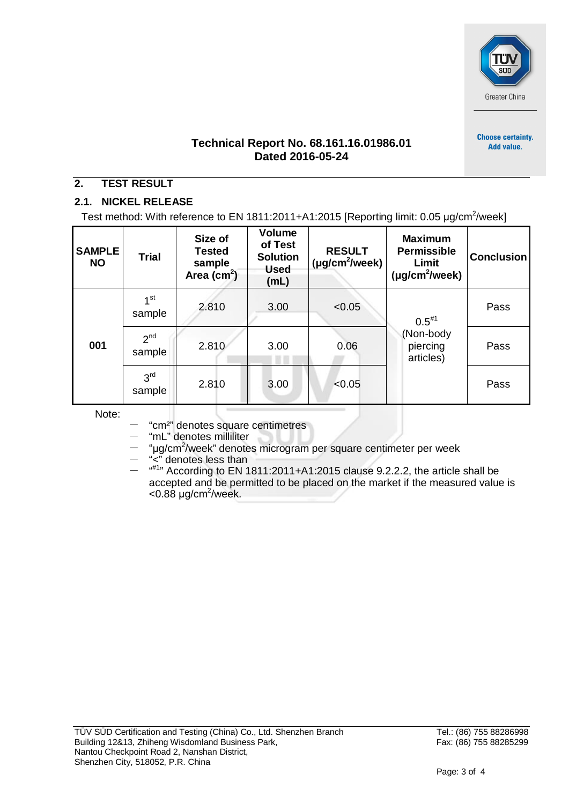

**Choose certainty.** Add value.

**Technical Report No. 68.161.16.01986.01 Dated 2016-05-24**

## **2. TEST RESULT**

## **2.1. NICKEL RELEASE**

Test method: With reference to EN 1811:2011+A1:2015 [Reporting limit: 0.05  $\mu$ g/cm<sup>2</sup>/week]

| <b>SAMPLE</b><br><b>NO</b> | <b>Trial</b>              | Size of<br><b>Tested</b><br>sample<br>Area (cm <sup>2</sup> ) | <b>Volume</b><br>of Test<br><b>Solution</b><br><b>Used</b><br>(mL) | <b>RESULT</b><br>$(\mu g/cm^2/$ week) | <b>Maximum</b><br><b>Permissible</b><br>Limit<br>$(\mu g/cm^2/$ week) | <b>Conclusion</b> |
|----------------------------|---------------------------|---------------------------------------------------------------|--------------------------------------------------------------------|---------------------------------------|-----------------------------------------------------------------------|-------------------|
| 001                        | 1 <sup>st</sup><br>sample | 2.810                                                         | 3.00                                                               | < 0.05                                | $0.5^{*1}$<br>(Non-body<br>piercing<br>articles)                      | Pass              |
|                            | 2 <sup>nd</sup><br>sample | 2.810                                                         | 3.00                                                               | 0.06                                  |                                                                       | Pass              |
|                            | 3 <sup>rd</sup><br>sample | 2.810                                                         | 3.00                                                               | < 0.05                                |                                                                       | Pass              |

Note:

ˉ "cm²" denotes square centimetres

- "mL" denotes milliliter

- "µg/cm<sup>2</sup>/week" denotes microgram per square centimeter per week

ˉ "<" denotes less than

 $-$  "<sup>#1</sup>" According to EN 1811:2011+A1:2015 clause 9.2.2.2, the article shall be accepted and be permitted to be placed on the market if the measured value is  $<$ 0.88 µg/cm<sup>2</sup>/week.